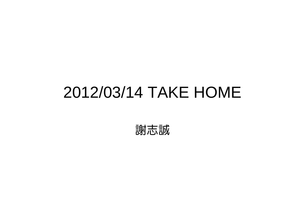### 2012/03/14 TAKE HOME

謝志誠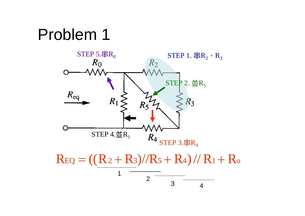## Problem 1



4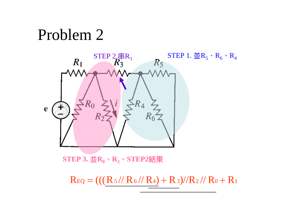Problem 2



 $R_{EQ} = ((R_5 // R_6 / R_4) + R_3) / R_2 / R_0 + R_1$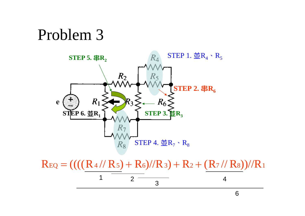#### Problem 3



 $R_{EQ} = (((R_4 // R_5) + R_6) // R_3) + R_2 + (R_7 // R_8))/R_1$ 

$$
\begin{array}{c|c}\n1 & 2 & 3 \\
\hline\n & 3 & 4\n\end{array}
$$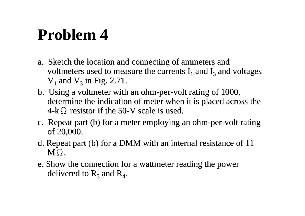## **Problem 4**

- a. Sketch the location and connecting of ammeters and voltmeters used to measure the currents  $I_1$  and  $I_3$  and voltages  $V_1$  and  $V_3$  in Fig. 2.71.
- b. Using a voltmeter with an ohm-per-volt rating of 1000, determine the indication of meter when it is placed across the  $4-k\Omega$  resistor if the 50-V scale is used.
- c. Repeat part (b) for a meter employing an ohm-per-volt rating of 20,000.
- d. Repeat part (b) for a DMM with an internal resistance of 11  $\mathbf{M\Omega}$  .
- e. Show the connection for a wattmeter reading the power delivered to  $R_3$  and  $R_4$ .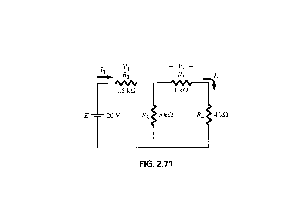

**FIG. 2.71**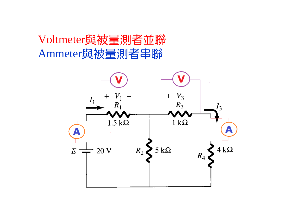#### Voltmeter與被量測者並聯 Ammeter與被量測者串聯

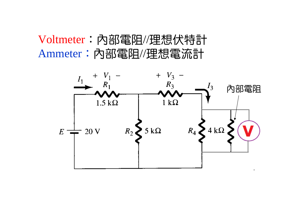#### Voltmeter:內部電阻//理想伏特計 Ammeter:內部電阻//理想電流計

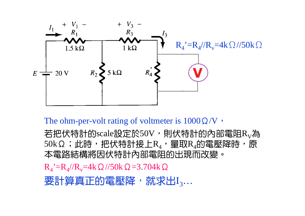

The ohm-per-volt rating of voltmeter is  $1000\Omega/V$ ,

若把伏特計的scale設定於50V,則伏特計的內部電阻 $\rm R_{V}$ 為 50kΩ;此時,把伏特計接上 ${\rm R}_4$ ,量取 ${\rm R}_4$ 的電壓降時,原 本電路結構將因伏特計內部電阻的出現而改變。

 $R_4$ '= $R_4$ // $R_v$ =4k Ω //50k Ω =3.704k Ω

要計算真正的電壓降,就求出 $\mathrm{I}_3...$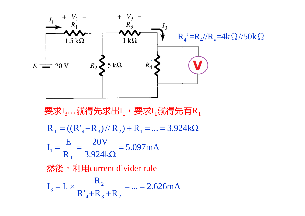

要求I<sub>3</sub>…就得先求出I<sub>1</sub>,要求I<sub>1</sub>就得先有R<sub>T</sub>  $\frac{284 \text{ k}}{3.924 \text{ k}\Omega}$  = 5.097 mA 20V R E $I_1 = R_T = ((R'_4 + R_3)/R_2) + R_1 = ... = 3.924k\Omega$  $\mathsf T$ 1  $\overline{\overline{\Omega}} =$  $=$   $=$ 然後, 利用current divider rule  $\frac{R_2}{R_1 + R_2 + R_3} = ... = 2.626 \text{mA}$ R $I_2 = I_1 \times$  —  $4 \cdot 1$   $3 \cdot 1$   $2$  $_3 = I_1 \times \frac{R_2}{R_1 + R_2 + R_3} = ... =$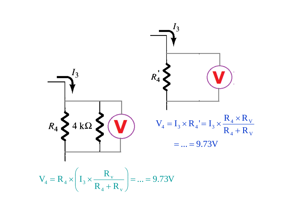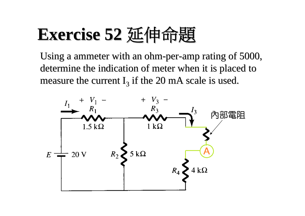# **Exercise 52 Exercise 52** 延伸命題

Using a ammeter with an ohm-per-amp rating of 5000, determine the indication of meter when it is placed to measure the current I<sub>3</sub> if the 20 mA scale is used.

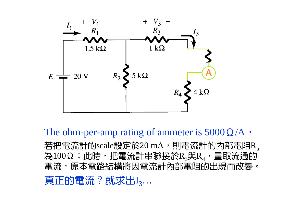

The ohm-per-amp rating of ammeter is  $5000\Omega/A$ ,

若把電流計的scale設定於20 mA,則電流計的內部電阻R $_{\rm a}$ 為 $100$ Ω;此時,把電流計串聯接於 ${\rm R}_3$ 與 ${\rm R}_4$ ,量取流通的 電流,原本電路結構將因電流計內部電阻的出現而改變。 真正的電流?就求出I $_3...$